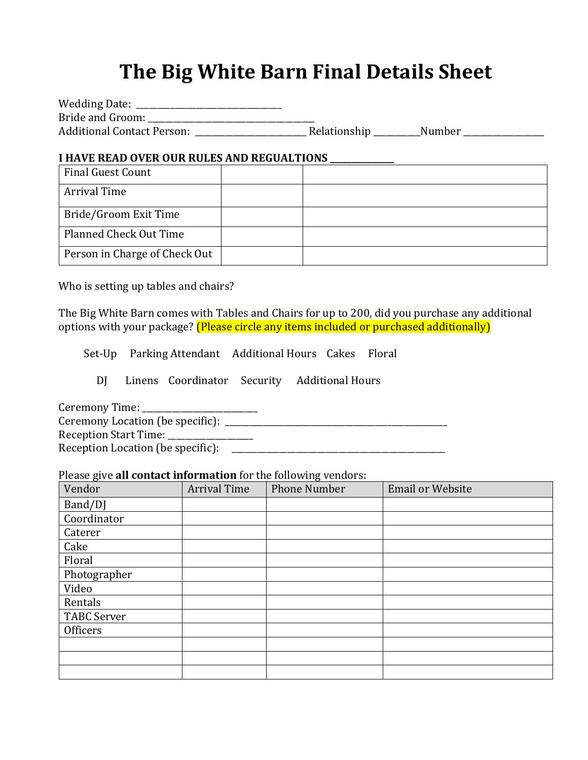# **The Big White Barn Final Details Sheet**

| Wedding Date:                     |              |        |
|-----------------------------------|--------------|--------|
| Bride and Groom:                  |              |        |
| <b>Additional Contact Person:</b> | Relationship | Number |

#### **I HAVE READ OVER OUR RULES AND REGUALTIONS \_\_\_\_\_\_\_\_\_\_\_\_\_\_\_**

| <b>Final Guest Count</b>      |  |
|-------------------------------|--|
| <b>Arrival Time</b>           |  |
| Bride/Groom Exit Time         |  |
| Planned Check Out Time        |  |
| Person in Charge of Check Out |  |

Who is setting up tables and chairs?

The Big White Barn comes with Tables and Chairs for up to 200, did you purchase any additional options with your package? (Please circle any items included or purchased additionally)

Set-Up Parking Attendant Additional Hours Cakes Floral

DJ Linens Coordinator Security Additional Hours

Ceremony Time: \_\_\_\_\_\_\_\_\_\_\_\_\_\_\_\_\_\_\_\_\_\_\_\_\_\_\_

Ceremony Location (be specific): \_\_\_\_\_\_\_\_\_\_\_\_\_\_\_\_\_\_\_\_\_\_\_\_\_\_\_\_\_\_\_\_\_\_\_\_\_\_\_\_\_\_\_\_\_\_\_\_\_\_\_\_ Reception Start Time: \_\_\_\_\_\_\_\_\_\_\_\_\_\_\_\_\_\_\_\_ Reception Location (be specific): \_\_\_\_\_\_\_\_\_\_\_\_\_\_\_\_\_\_\_\_\_\_\_\_\_\_\_\_\_\_\_\_\_\_\_\_\_\_\_\_\_\_\_\_\_\_\_\_\_\_

#### Please give **all contact information** for the following vendors:

| $-0.0000$ $A0$ $A0$ $A0$ $A0$ $A0$ $A0$ $A0$ $A0$ $A0$ $A0$ $A0$ $A0$ $A0$ $A0$ $A0$ $A0$ $A0$ $A0$ $A0$ $A$<br>Vendor | <b>Arrival Time</b> | <b>Phone Number</b> | <b>Email or Website</b> |
|------------------------------------------------------------------------------------------------------------------------|---------------------|---------------------|-------------------------|
| Band/DJ                                                                                                                |                     |                     |                         |
| Coordinator                                                                                                            |                     |                     |                         |
| Caterer                                                                                                                |                     |                     |                         |
| Cake                                                                                                                   |                     |                     |                         |
| Floral                                                                                                                 |                     |                     |                         |
| Photographer                                                                                                           |                     |                     |                         |
| Video                                                                                                                  |                     |                     |                         |
| Rentals                                                                                                                |                     |                     |                         |
| <b>TABC Server</b>                                                                                                     |                     |                     |                         |
| Officers                                                                                                               |                     |                     |                         |
|                                                                                                                        |                     |                     |                         |
|                                                                                                                        |                     |                     |                         |
|                                                                                                                        |                     |                     |                         |